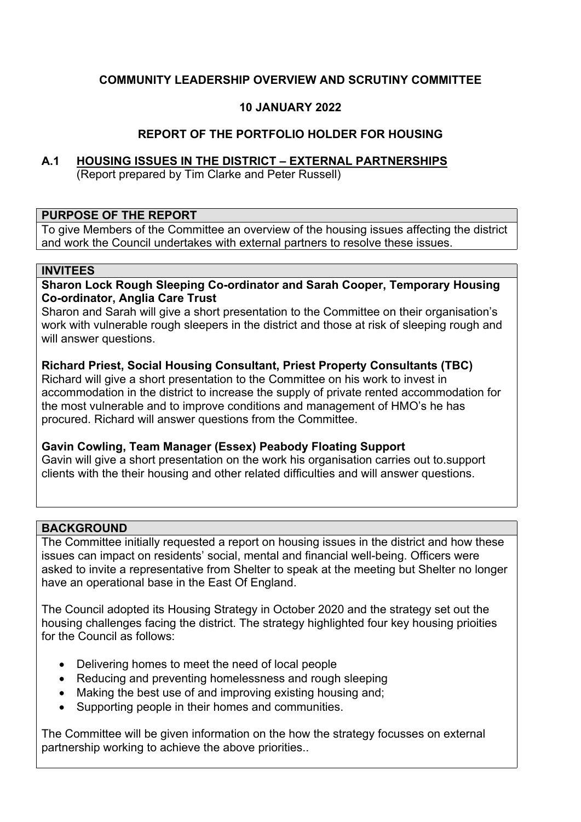## **COMMUNITY LEADERSHIP OVERVIEW AND SCRUTINY COMMITTEE**

### **10 JANUARY 2022**

### **REPORT OF THE PORTFOLIO HOLDER FOR HOUSING**

## **A.1 HOUSING ISSUES IN THE DISTRICT – EXTERNAL PARTNERSHIPS** (Report prepared by Tim Clarke and Peter Russell)

#### **PURPOSE OF THE REPORT**

To give Members of the Committee an overview of the housing issues affecting the district and work the Council undertakes with external partners to resolve these issues.

#### **INVITEES**

**Sharon Lock Rough Sleeping Co-ordinator and Sarah Cooper, Temporary Housing Co-ordinator, Anglia Care Trust**

Sharon and Sarah will give a short presentation to the Committee on their organisation's work with vulnerable rough sleepers in the district and those at risk of sleeping rough and will answer questions.

**Richard Priest, Social Housing Consultant, Priest Property Consultants (TBC)** Richard will give a short presentation to the Committee on his work to invest in accommodation in the district to increase the supply of private rented accommodation for the most vulnerable and to improve conditions and management of HMO's he has procured. Richard will answer questions from the Committee.

### **Gavin Cowling, Team Manager (Essex) Peabody Floating Support**

Gavin will give a short presentation on the work his organisation carries out to.support clients with the their housing and other related difficulties and will answer questions.

### **BACKGROUND**

The Committee initially requested a report on housing issues in the district and how these issues can impact on residents' social, mental and financial well-being. Officers were asked to invite a representative from Shelter to speak at the meeting but Shelter no longer have an operational base in the East Of England.

The Council adopted its Housing Strategy in October 2020 and the strategy set out the housing challenges facing the district. The strategy highlighted four key housing prioities for the Council as follows:

- Delivering homes to meet the need of local people
- Reducing and preventing homelessness and rough sleeping
- Making the best use of and improving existing housing and;
- Supporting people in their homes and communities.

The Committee will be given information on the how the strategy focusses on external partnership working to achieve the above priorities..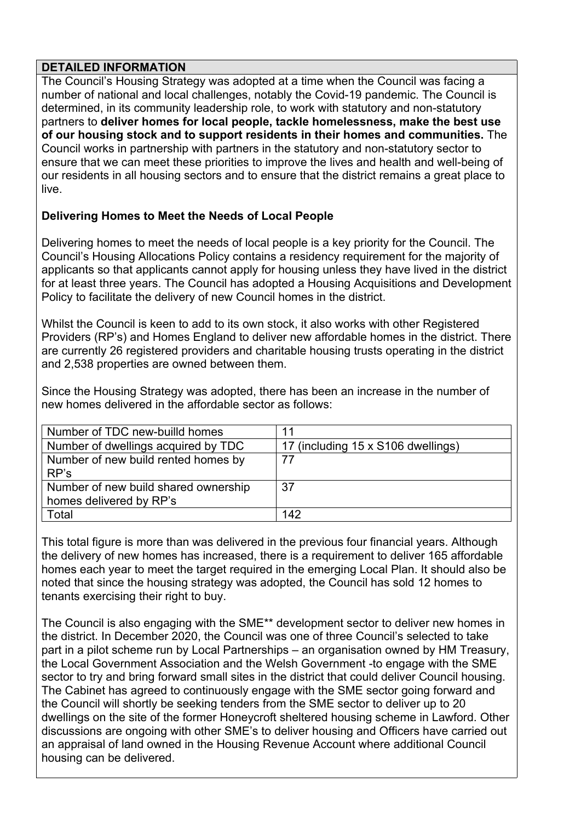#### **DETAILED INFORMATION**

The Council's Housing Strategy was adopted at a time when the Council was facing a number of national and local challenges, notably the Covid-19 pandemic. The Council is determined, in its community leadership role, to work with statutory and non-statutory partners to **deliver homes for local people, tackle homelessness, make the best use of our housing stock and to support residents in their homes and communities.** The Council works in partnership with partners in the statutory and non-statutory sector to ensure that we can meet these priorities to improve the lives and health and well-being of our residents in all housing sectors and to ensure that the district remains a great place to live.

## **Delivering Homes to Meet the Needs of Local People**

Delivering homes to meet the needs of local people is a key priority for the Council. The Council's Housing Allocations Policy contains a residency requirement for the majority of applicants so that applicants cannot apply for housing unless they have lived in the district for at least three years. The Council has adopted a Housing Acquisitions and Development Policy to facilitate the delivery of new Council homes in the district.

Whilst the Council is keen to add to its own stock, it also works with other Registered Providers (RP's) and Homes England to deliver new affordable homes in the district. There are currently 26 registered providers and charitable housing trusts operating in the district and 2,538 properties are owned between them.

Since the Housing Strategy was adopted, there has been an increase in the number of new homes delivered in the affordable sector as follows:

| Number of TDC new-builld homes       | 11                                 |
|--------------------------------------|------------------------------------|
| Number of dwellings acquired by TDC  | 17 (including 15 x S106 dwellings) |
| Number of new build rented homes by  | 77                                 |
| RP's                                 |                                    |
| Number of new build shared ownership | 37                                 |
| homes delivered by RP's              |                                    |
| Total                                | 142                                |

This total figure is more than was delivered in the previous four financial years. Although the delivery of new homes has increased, there is a requirement to deliver 165 affordable homes each year to meet the target required in the emerging Local Plan. It should also be noted that since the housing strategy was adopted, the Council has sold 12 homes to tenants exercising their right to buy.

The Council is also engaging with the SME\*\* development sector to deliver new homes in the district. In December 2020, the Council was one of three Council's selected to take part in a pilot scheme run by Local Partnerships – an organisation owned by HM Treasury, the Local Government Association and the Welsh Government -to engage with the SME sector to try and bring forward small sites in the district that could deliver Council housing. The Cabinet has agreed to continuously engage with the SME sector going forward and the Council will shortly be seeking tenders from the SME sector to deliver up to 20 dwellings on the site of the former Honeycroft sheltered housing scheme in Lawford. Other discussions are ongoing with other SME's to deliver housing and Officers have carried out an appraisal of land owned in the Housing Revenue Account where additional Council housing can be delivered.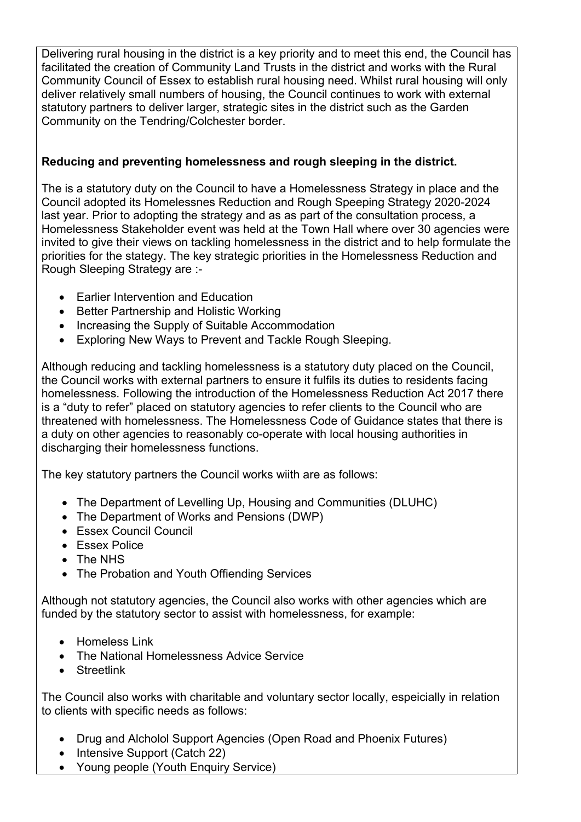Delivering rural housing in the district is a key priority and to meet this end, the Council has facilitated the creation of Community Land Trusts in the district and works with the Rural Community Council of Essex to establish rural housing need. Whilst rural housing will only deliver relatively small numbers of housing, the Council continues to work with external statutory partners to deliver larger, strategic sites in the district such as the Garden Community on the Tendring/Colchester border.

## **Reducing and preventing homelessness and rough sleeping in the district.**

The is a statutory duty on the Council to have a Homelessness Strategy in place and the Council adopted its Homelessnes Reduction and Rough Speeping Strategy 2020-2024 last year. Prior to adopting the strategy and as as part of the consultation process, a Homelessness Stakeholder event was held at the Town Hall where over 30 agencies were invited to give their views on tackling homelessness in the district and to help formulate the priorities for the stategy. The key strategic priorities in the Homelessness Reduction and Rough Sleeping Strategy are :-

- Earlier Intervention and Education
- Better Partnership and Holistic Working
- Increasing the Supply of Suitable Accommodation
- Exploring New Ways to Prevent and Tackle Rough Sleeping.

Although reducing and tackling homelessness is a statutory duty placed on the Council, the Council works with external partners to ensure it fulfils its duties to residents facing homelessness. Following the introduction of the Homelessness Reduction Act 2017 there is a "duty to refer" placed on statutory agencies to refer clients to the Council who are threatened with homelessness. The Homelessness Code of Guidance states that there is a duty on other agencies to reasonably co-operate with local housing authorities in discharging their homelessness functions.

The key statutory partners the Council works wiith are as follows:

- The Department of Levelling Up, Housing and Communities (DLUHC)
- The Department of Works and Pensions (DWP)
- Essex Council Council
- **Essex Police**
- The NHS
- The Probation and Youth Offiending Services

Although not statutory agencies, the Council also works with other agencies which are funded by the statutory sector to assist with homelessness, for example:

- Homeless Link
- The National Homelessness Advice Service
- **•** Streetlink

The Council also works with charitable and voluntary sector locally, espeicially in relation to clients with specific needs as follows:

- Drug and Alcholol Support Agencies (Open Road and Phoenix Futures)
- Intensive Support (Catch 22)
- Young people (Youth Enquiry Service)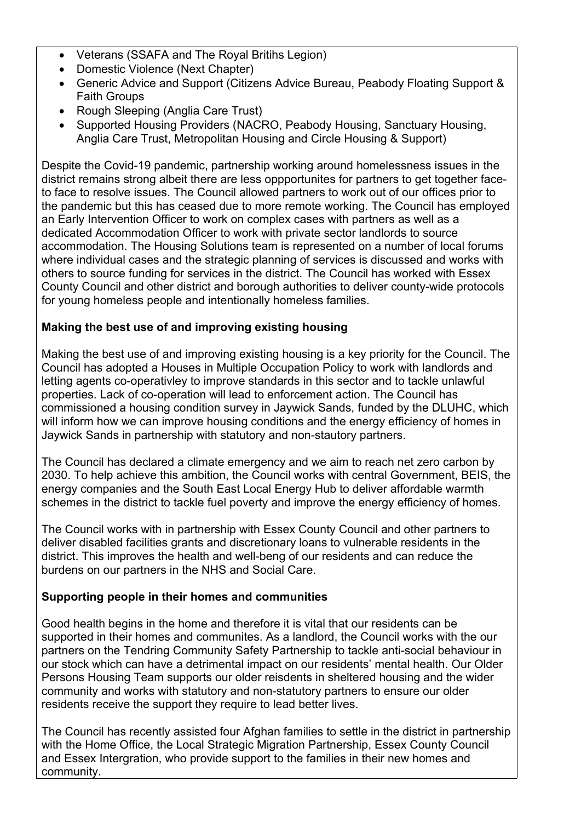- Veterans (SSAFA and The Royal Britihs Legion)
- Domestic Violence (Next Chapter)
- Generic Advice and Support (Citizens Advice Bureau, Peabody Floating Support & Faith Groups
- Rough Sleeping (Anglia Care Trust)
- Supported Housing Providers (NACRO, Peabody Housing, Sanctuary Housing, Anglia Care Trust, Metropolitan Housing and Circle Housing & Support)

Despite the Covid-19 pandemic, partnership working around homelessness issues in the district remains strong albeit there are less oppportunites for partners to get together faceto face to resolve issues. The Council allowed partners to work out of our offices prior to the pandemic but this has ceased due to more remote working. The Council has employed an Early Intervention Officer to work on complex cases with partners as well as a dedicated Accommodation Officer to work with private sector landlords to source accommodation. The Housing Solutions team is represented on a number of local forums where individual cases and the strategic planning of services is discussed and works with others to source funding for services in the district. The Council has worked with Essex County Council and other district and borough authorities to deliver county-wide protocols for young homeless people and intentionally homeless families.

# **Making the best use of and improving existing housing**

Making the best use of and improving existing housing is a key priority for the Council. The Council has adopted a Houses in Multiple Occupation Policy to work with landlords and letting agents co-operativley to improve standards in this sector and to tackle unlawful properties. Lack of co-operation will lead to enforcement action. The Council has commissioned a housing condition survey in Jaywick Sands, funded by the DLUHC, which will inform how we can improve housing conditions and the energy efficiency of homes in Jaywick Sands in partnership with statutory and non-stautory partners.

The Council has declared a climate emergency and we aim to reach net zero carbon by 2030. To help achieve this ambition, the Council works with central Government, BEIS, the energy companies and the South East Local Energy Hub to deliver affordable warmth schemes in the district to tackle fuel poverty and improve the energy efficiency of homes.

The Council works with in partnership with Essex County Council and other partners to deliver disabled facilities grants and discretionary loans to vulnerable residents in the district. This improves the health and well-beng of our residents and can reduce the burdens on our partners in the NHS and Social Care.

# **Supporting people in their homes and communities**

Good health begins in the home and therefore it is vital that our residents can be supported in their homes and communites. As a landlord, the Council works with the our partners on the Tendring Community Safety Partnership to tackle anti-social behaviour in our stock which can have a detrimental impact on our residents' mental health. Our Older Persons Housing Team supports our older reisdents in sheltered housing and the wider community and works with statutory and non-statutory partners to ensure our older residents receive the support they require to lead better lives.

The Council has recently assisted four Afghan families to settle in the district in partnership with the Home Office, the Local Strategic Migration Partnership, Essex County Council and Essex Intergration, who provide support to the families in their new homes and community.